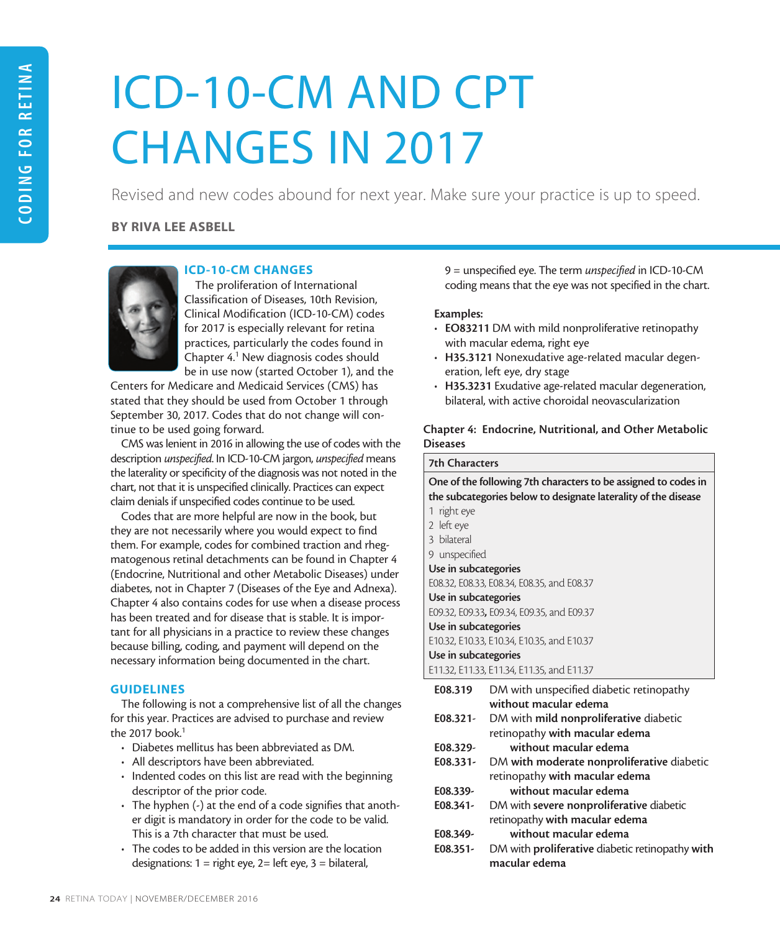# ICD-10-CM AND CPT CHANGES IN 2017

Revised and new codes abound for next year. Make sure your practice is up to speed.

# BY RIVA LEE ASBELL



# ICD-10-CM CHANGES

The proliferation of International Classification of Diseases, 10th Revision, Clinical Modification (ICD-10-CM) codes for 2017 is especially relevant for retina practices, particularly the codes found in Chapter 4.<sup>1</sup> New diagnosis codes should be in use now (started October 1), and the

Centers for Medicare and Medicaid Services (CMS) has stated that they should be used from October 1 through September 30, 2017. Codes that do not change will continue to be used going forward.

CMS was lenient in 2016 in allowing the use of codes with the description *unspecified*. In ICD-10-CM jargon, *unspecified* means the laterality or specificity of the diagnosis was not noted in the chart, not that it is unspecified clinically. Practices can expect claim denials if unspecified codes continue to be used.

Codes that are more helpful are now in the book, but they are not necessarily where you would expect to find them. For example, codes for combined traction and rhegmatogenous retinal detachments can be found in Chapter 4 (Endocrine, Nutritional and other Metabolic Diseases) under diabetes, not in Chapter 7 (Diseases of the Eye and Adnexa). Chapter 4 also contains codes for use when a disease process has been treated and for disease that is stable. It is important for all physicians in a practice to review these changes because billing, coding, and payment will depend on the necessary information being documented in the chart.

# **GUIDELINES**

The following is not a comprehensive list of all the changes for this year. Practices are advised to purchase and review the 2017 book. $1$ 

- Diabetes mellitus has been abbreviated as DM.
- All descriptors have been abbreviated.
- Indented codes on this list are read with the beginning descriptor of the prior code.
- The hyphen (-) at the end of a code signifies that another digit is mandatory in order for the code to be valid. This is a 7th character that must be used.
- The codes to be added in this version are the location designations:  $1 =$  right eye,  $2 =$  left eye,  $3 =$  bilateral,

9 = unspecified eye. The term *unspecified* in ICD-10-CM coding means that the eye was not specified in the chart.

## Examples:

- EO83211 DM with mild nonproliferative retinopathy with macular edema, right eye
- H35.3121 Nonexudative age-related macular degeneration, left eye, dry stage
- H35.3231 Exudative age-related macular degeneration, bilateral, with active choroidal neovascularization

# Chapter 4: Endocrine, Nutritional, and Other Metabolic **Diseases**

| <b>7th Characters</b>                                          |                                                                |  |
|----------------------------------------------------------------|----------------------------------------------------------------|--|
| One of the following 7th characters to be assigned to codes in |                                                                |  |
|                                                                | the subcategories below to designate laterality of the disease |  |
| 1 right eye                                                    |                                                                |  |
| 2 left eye                                                     |                                                                |  |
| 3 bilateral                                                    |                                                                |  |
| 9 unspecified                                                  |                                                                |  |
| Use in subcategories                                           |                                                                |  |
|                                                                | E08.32, E08.33, E08.34, E08.35, and E08.37                     |  |
| Use in subcategories                                           |                                                                |  |
|                                                                | E09.32, E09.33, E09.34, E09.35, and E09.37                     |  |
| Use in subcategories                                           |                                                                |  |
|                                                                | E10.32, E10.33, E10.34, E10.35, and E10.37                     |  |
| Use in subcategories                                           |                                                                |  |
|                                                                | E11.32, E11.33, E11.34, E11.35, and E11.37                     |  |
| E08.319                                                        | DM with unspecified diabetic retinopathy                       |  |
|                                                                | without macular edema                                          |  |
| E08.321-                                                       | DM with mild nonproliferative diabetic                         |  |
|                                                                | retinopathy with macular edema                                 |  |
| E08.329-                                                       | without macular edema                                          |  |
| E08.331-                                                       | DM with moderate nonproliferative diabetic                     |  |
|                                                                | retinopathy with macular edema                                 |  |
| E08.339-                                                       | without macular edema                                          |  |
| E08.341-                                                       | DM with severe nonproliferative diabetic                       |  |
|                                                                | retinopathy with macular edema                                 |  |
| E08.349-                                                       | without macular edema                                          |  |
|                                                                |                                                                |  |

E08.351- DM with proliferative diabetic retinopathy with macular edema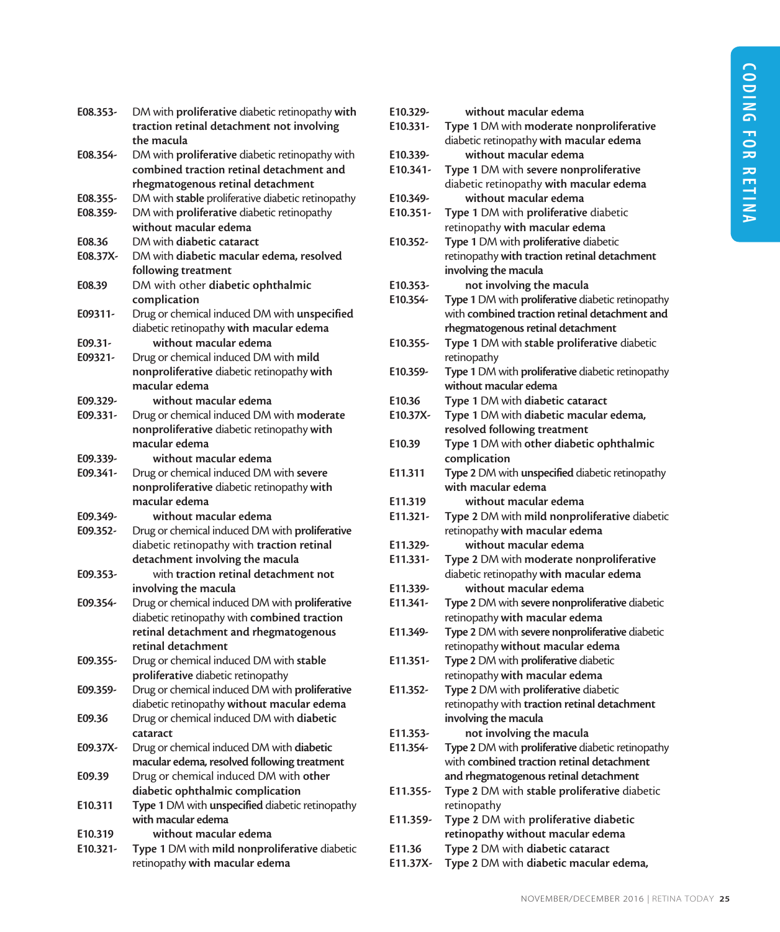| E08.353- | DM with proliferative diabetic retinopathy with<br>traction retinal detachment not involving |
|----------|----------------------------------------------------------------------------------------------|
| E08.354- | the macula<br>DM with <b>proliferative</b> diabetic retinopathy with                         |
|          | combined traction retinal detachment and                                                     |
|          | rhegmatogenous retinal detachment                                                            |
| E08.355- | DM with stable proliferative diabetic retinopathy                                            |
| E08.359- | DM with proliferative diabetic retinopathy                                                   |
|          | without macular edema                                                                        |
| E08.36   | DM with diabetic cataract                                                                    |
| E08.37X- | DM with diabetic macular edema, resolved                                                     |
|          | following treatment                                                                          |
| E08.39   | DM with other diabetic ophthalmic                                                            |
|          | complication                                                                                 |
| E09311-  | Drug or chemical induced DM with unspecified                                                 |
|          | diabetic retinopathy with macular edema                                                      |
| E09.31-  | without macular edema                                                                        |
| E09321-  | Drug or chemical induced DM with mild                                                        |
|          | nonproliferative diabetic retinopathy with                                                   |
|          | macular edema                                                                                |
| E09.329- | without macular edema                                                                        |
| E09.331- | Drug or chemical induced DM with moderate                                                    |
|          | nonproliferative diabetic retinopathy with                                                   |
|          | macular edema                                                                                |
| E09.339- | without macular edema                                                                        |
| E09.341- | Drug or chemical induced DM with severe                                                      |
|          | nonproliferative diabetic retinopathy with                                                   |
|          | macular edema                                                                                |
| E09.349- | without macular edema                                                                        |
| E09.352- | Drug or chemical induced DM with proliferative                                               |
|          | diabetic retinopathy with traction retinal                                                   |
|          | detachment involving the macula                                                              |
| E09.353- | with traction retinal detachment not                                                         |
|          | involving the macula                                                                         |
| E09.354- | Drug or chemical induced DM with proliferative                                               |
|          | diabetic retinopathy with combined traction                                                  |
|          | retinal detachment and rhegmatogenous                                                        |
| E09.355- | retınal detachment<br>Drug or chemical induced DM with stable                                |
|          | proliferative diabetic retinopathy                                                           |
| E09.359- | Drug or chemical induced DM with proliferative                                               |
|          | diabetic retinopathy without macular edema                                                   |
| E09.36   | Drug or chemical induced DM with diabetic                                                    |
|          | cataract                                                                                     |
| E09.37X- | Drug or chemical induced DM with diabetic                                                    |
|          | macular edema, resolved following treatment                                                  |
| E09.39   | Drug or chemical induced DM with other                                                       |
|          | diabetic ophthalmic complication                                                             |
| E10.311  | Type 1 DM with unspecified diabetic retinopathy                                              |
|          | with macular edema                                                                           |
| E10.319  | without macular edema                                                                        |
| E10.321- | Type 1 DM with mild nonproliferative diabetic                                                |
|          | retinopathy with macular edema                                                               |

| E10.329-   | without macular edema                             |
|------------|---------------------------------------------------|
| $E10.331-$ | Type 1 DM with moderate nonproliferative          |
|            | diabetic retinopathy with macular edema           |
| E10.339-   | without macular edema                             |
| $E10.341-$ | Type 1 DM with severe nonproliferative            |
|            |                                                   |
|            | diabetic retinopathy with macular edema           |
| E10.349-   | without macular edema                             |
| E10.351-   | Type 1 DM with proliferative diabetic             |
|            | retinopathy with macular edema                    |
| E10.352-   | Type 1 DM with proliferative diabetic             |
|            | retinopathy with traction retinal detachment      |
|            | involving the macula                              |
| E10.353-   | not involving the macula                          |
| E10.354-   | Type 1 DM with proliferative diabetic retinopathy |
|            | with combined traction retinal detachment and     |
|            | rhegmatogenous retinal detachment                 |
| E10.355-   | Type 1 DM with stable proliferative diabetic      |
|            | retinopathy                                       |
| E10.359-   | Type 1 DM with proliferative diabetic retinopathy |
|            | without macular edema                             |
| E10.36     | Type 1 DM with diabetic cataract                  |
| E10.37X-   | Type 1 DM with diabetic macular edema,            |
|            | resolved following treatment                      |
| E10.39     | Type 1 DM with other diabetic ophthalmic          |
|            | complication                                      |
| E11.311    | Type 2 DM with unspecified diabetic retinopathy   |
|            | with macular edema                                |
| E11.319    | without macular edema                             |
| $E11.321-$ | Type 2 DM with mild nonproliferative diabetic     |
|            | retinopathy with macular edema                    |
| E11.329-   | without macular edema                             |
| E11.331-   | Type 2 DM with moderate nonproliferative          |
|            | diabetic retinopathy with macular edema           |
| E11.339-   | without macular edema                             |
| E11.341-   | Type 2 DM with severe nonproliferative diabetic   |
|            | retinopathy with macular edema                    |
| E11.349-   | Type 2 DM with severe nonproliferative diabetic   |
|            | retinopathy without macular edema                 |
| E11.351-   | Type 2 DM with proliferative diabetic             |
|            | retinopathy with macular edema                    |
| E11.352-   | Type 2 DM with proliferative diabetic             |
|            | retinopathy with traction retinal detachment      |
|            | involving the macula                              |
| E11.353-   | not involving the macula                          |
| E11.354-   | Type 2 DM with proliferative diabetic retinopathy |
|            | with combined traction retinal detachment         |
|            | and rhegmatogenous retinal detachment             |
| E11.355-   | Type 2 DM with stable proliferative diabetic      |
|            | retinopathy                                       |
| E11.359-   | Type 2 DM with proliferative diabetic             |
|            | retinopathy without macular edema                 |
| E11.36     | Type 2 DM with diabetic cataract                  |
| E11.37X-   | Type 2 DM with diabetic macular edema,            |
|            |                                                   |